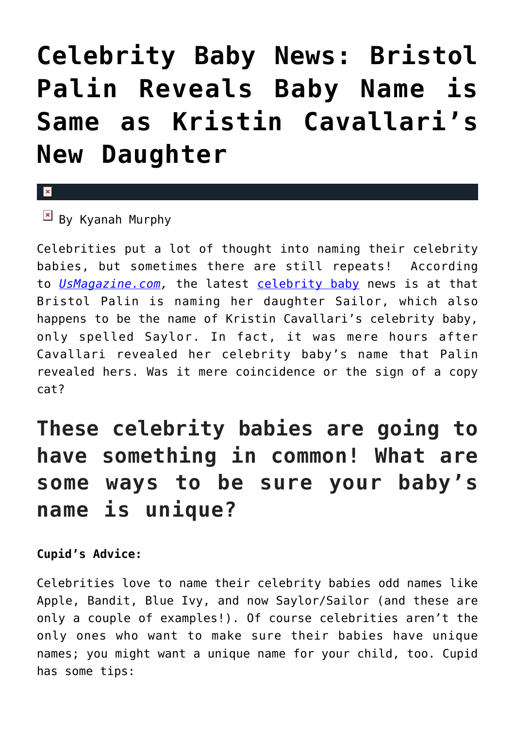## **[Celebrity Baby News: Bristol](https://cupidspulse.com/101906/celebrity-baby-news-bristol-palin-reveals-baby-name-is-same-as-kristin-cavallaris-new-daughter/) [Palin Reveals Baby Name is](https://cupidspulse.com/101906/celebrity-baby-news-bristol-palin-reveals-baby-name-is-same-as-kristin-cavallaris-new-daughter/) [Same as Kristin Cavallari's](https://cupidspulse.com/101906/celebrity-baby-news-bristol-palin-reveals-baby-name-is-same-as-kristin-cavallaris-new-daughter/) [New Daughter](https://cupidspulse.com/101906/celebrity-baby-news-bristol-palin-reveals-baby-name-is-same-as-kristin-cavallaris-new-daughter/)**

## $\mathbf{\overline{x}}$

 $\boxed{\times}$  By Kyanah Murphy

Celebrities put a lot of thought into naming their celebrity babies, but sometimes there are still repeats! According to *[UsMagazine.com](http://www.usmagazine.com/celebrity-moms/news/bristol-palin-reveals-unborn-daughters-name-photo-w158351),* the latest [celebrity baby](http://cupidspulse.com/celebrity-relationships/celebrity-babies/) news is at that Bristol Palin is naming her daughter Sailor, which also happens to be the name of Kristin Cavallari's celebrity baby, only spelled Saylor. In fact, it was mere hours after Cavallari revealed her celebrity baby's name that Palin revealed hers. Was it mere coincidence or the sign of a copy cat?

## **These celebrity babies are going to have something in common! What are some ways to be sure your baby's name is unique?**

## **Cupid's Advice:**

Celebrities love to name their celebrity babies odd names like Apple, Bandit, Blue Ivy, and now Saylor/Sailor (and these are only a couple of examples!). Of course celebrities aren't the only ones who want to make sure their babies have unique names; you might want a unique name for your child, too. Cupid has some tips: